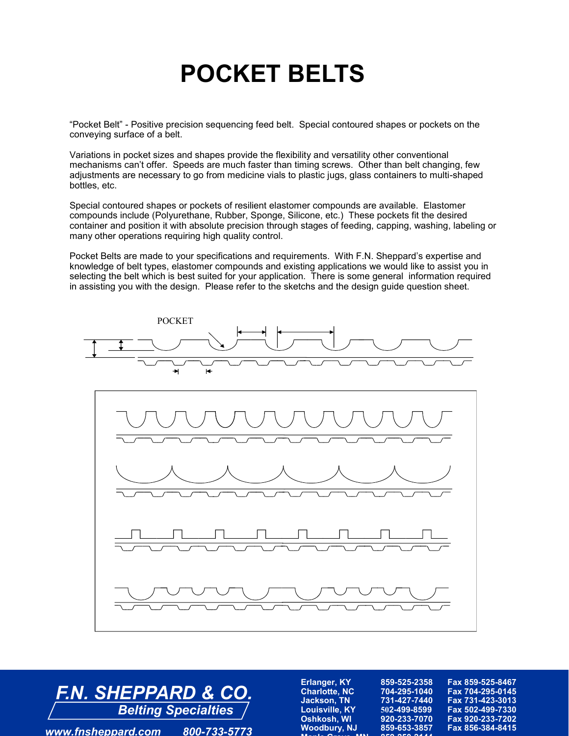## **POCKET BELTS**

"Pocket Belt" - Positive precision sequencing feed belt. Special contoured shapes or pockets on the conveying surface of a belt.

Variations in pocket sizes and shapes provide the flexibility and versatility other conventional mechanisms can't offer. Speeds are much faster than timing screws. Other than belt changing, few adjustments are necessary to go from medicine vials to plastic jugs, glass containers to multi-shaped bottles, etc.

Special contoured shapes or pockets of resilient elastomer compounds are available. Elastomer compounds include (Polyurethane, Rubber, Sponge, Silicone, etc.) These pockets fit the desired container and position it with absolute precision through stages of feeding, capping, washing, labeling or many other operations requiring high quality control.

Pocket Belts are made to your specifications and requirements. With F.N. Sheppard's expertise and knowledge of belt types, elastomer compounds and existing applications we would like to assist you in selecting the belt which is best suited for your application. There is some general information required in assisting you with the design. Please refer to the sketchs and the design guide question sheet.





*www.fnsheppard.com 800-733-5773*

| <b>Erlanger, KY</b>          | 859-525-2358 | Fax 859-525-8467 |
|------------------------------|--------------|------------------|
| <b>Charlotte, NC</b>         | 704-295-1040 | Fax 704-295-0145 |
| <b>Jackson, TN</b>           | 731-427-7440 | Fax 731-423-3013 |
| <b>Louisville, KY</b>        | 502-499-8599 | Fax 502-499-7330 |
| Oshkosh, WI                  | 920-233-7070 | Fax 920-233-7202 |
| <b>Woodbury, NJ</b>          | 859-653-3857 | Fax 856-384-8415 |
| <b>Admiral Contract Adam</b> | OFO OFO OAAA |                  |
|                              |              |                  |